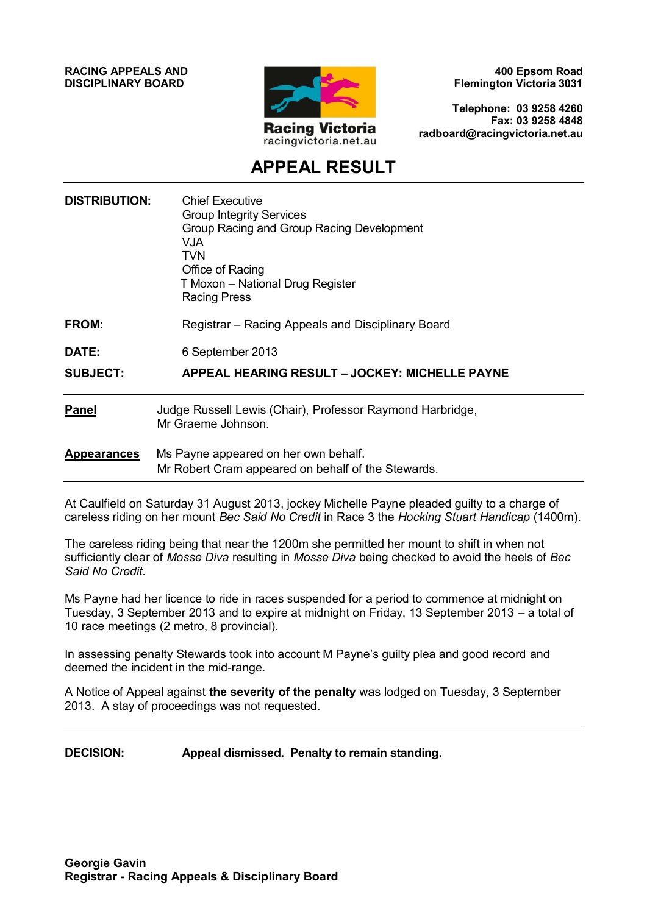**RACING APPEALS AND DISCIPLINARY BOARD**



**400 Epsom Road Flemington Victoria 3031**

**Telephone: 03 9258 4260 Fax: 03 9258 4848 radboard@racingvictoria.net.au**

# **APPEAL RESULT**

| <b>DISTRIBUTION:</b> | <b>Chief Executive</b><br><b>Group Integrity Services</b><br>Group Racing and Group Racing Development<br>VJA.<br><b>TVN</b><br>Office of Racing<br>T Moxon - National Drug Register<br><b>Racing Press</b> |
|----------------------|-------------------------------------------------------------------------------------------------------------------------------------------------------------------------------------------------------------|
| FROM:                | Registrar – Racing Appeals and Disciplinary Board                                                                                                                                                           |
| DATE:                | 6 September 2013                                                                                                                                                                                            |
| <b>SUBJECT:</b>      | <b>APPEAL HEARING RESULT – JOCKEY: MICHELLE PAYNE</b>                                                                                                                                                       |
| <b>Panel</b>         | Judge Russell Lewis (Chair), Professor Raymond Harbridge,<br>Mr Graeme Johnson.                                                                                                                             |
| <b>Appearances</b>   | Ms Payne appeared on her own behalf.<br>Mr Robert Cram appeared on behalf of the Stewards.                                                                                                                  |

At Caulfield on Saturday 31 August 2013, jockey Michelle Payne pleaded guilty to a charge of careless riding on her mount *Bec Said No Credit* in Race 3 the *Hocking Stuart Handicap* (1400m).

The careless riding being that near the 1200m she permitted her mount to shift in when not sufficiently clear of *Mosse Diva* resulting in *Mosse Diva* being checked to avoid the heels of *Bec Said No Credit.*

Ms Payne had her licence to ride in races suspended for a period to commence at midnight on Tuesday, 3 September 2013 and to expire at midnight on Friday, 13 September 2013 – a total of 10 race meetings (2 metro, 8 provincial).

In assessing penalty Stewards took into account M Payne's guilty plea and good record and deemed the incident in the mid-range.

A Notice of Appeal against **the severity of the penalty** was lodged on Tuesday, 3 September 2013. A stay of proceedings was not requested.

**DECISION: Appeal dismissed. Penalty to remain standing.**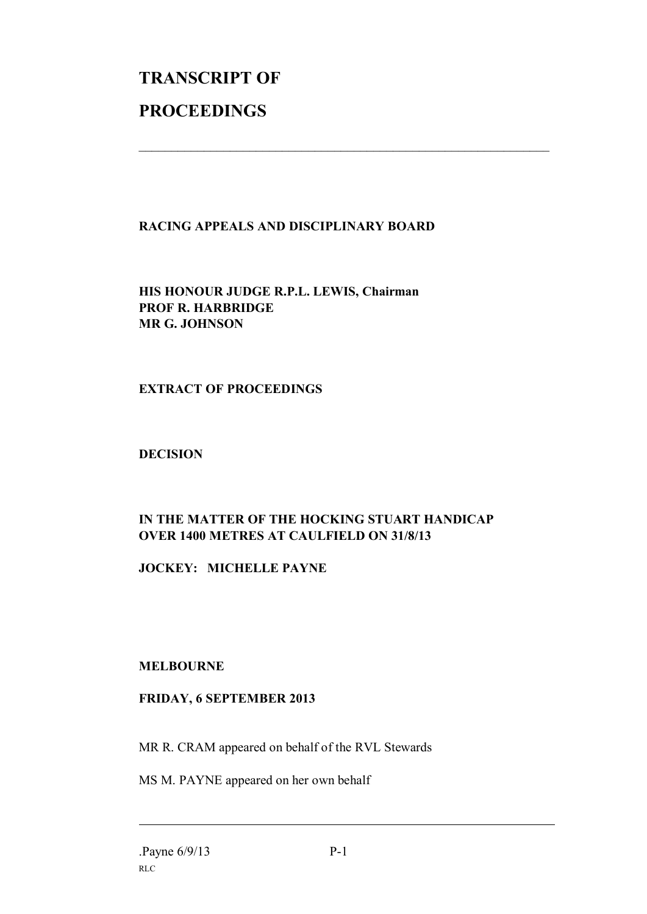# **TRANSCRIPT OF PROCEEDINGS**

# **RACING APPEALS AND DISCIPLINARY BOARD**

 $\mathcal{L}_\text{max}$  , and the contribution of the contribution of the contribution of the contribution of the contribution of the contribution of the contribution of the contribution of the contribution of the contribution of t

**HIS HONOUR JUDGE R.P.L. LEWIS, Chairman PROF R. HARBRIDGE MR G. JOHNSON**

# **EXTRACT OF PROCEEDINGS**

#### **DECISION**

# **IN THE MATTER OF THE HOCKING STUART HANDICAP OVER 1400 METRES AT CAULFIELD ON 31/8/13**

**JOCKEY: MICHELLE PAYNE**

# **MELBOURNE**

# **FRIDAY, 6 SEPTEMBER 2013**

MR R. CRAM appeared on behalf of the RVL Stewards

MS M. PAYNE appeared on her own behalf